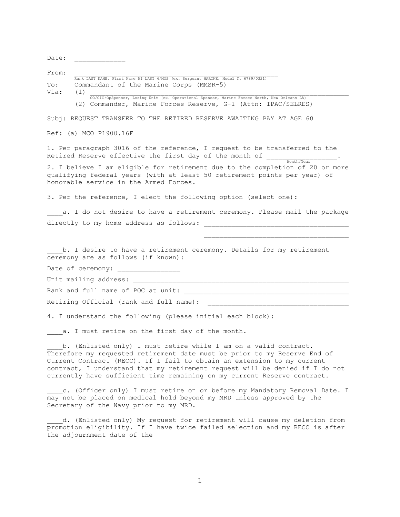Date:

 $From:$ 

|                | Rank LAST NAME, First Name MI LAST 4/MOS (ex. Sergeant MARINE, Model T. 6789/0321) |  |  |  |
|----------------|------------------------------------------------------------------------------------|--|--|--|
| $\texttt{To:}$ | Commandant of the Marine Corps (MMSR-5)                                            |  |  |  |
| Via:           | (1)                                                                                |  |  |  |

 CO/OIC/OpSponsor, Losing Unit (ex. Operational Sponsor, Marine Forces North, New Orleans LA) (2) Commander, Marine Forces Reserve, G-1 (Attn: IPAC/SELRES)

Subj: REQUEST TRANSFER TO THE RETIRED RESERVE AWAITING PAY AT AGE 60

Ref: (a) MCO P1900.16F

1. Per paragraph 3016 of the reference, I request to be transferred to the Retired Reserve effective the first day of the month of  $\frac{1}{\text{Month/Year}}$ .

2. I believe I am eligible for retirement due to the completion of 20 or more qualifying federal years (with at least 50 retirement points per year) of honorable service in the Armed Forces.

3. Per the reference, I elect the following option (select one):

a. I do not desire to have a retirement ceremony. Please mail the package directly to my home address as follows:

b. I desire to have a retirement ceremony. Details for my retirement ceremony are as follows (if known):

Date of ceremony:

Unit mailing address:

Rank and full name of POC at unit: \_\_\_\_\_\_\_\_\_\_\_\_\_\_\_\_\_\_\_\_\_\_\_\_\_\_\_\_\_\_\_\_\_\_\_\_\_\_\_\_\_\_

Retiring Official (rank and full name):

4. I understand the following (please initial each block):

a. I must retire on the first day of the month.

b. (Enlisted only) I must retire while I am on a valid contract. Therefore my requested retirement date must be prior to my Reserve End of Current Contract (RECC). If I fail to obtain an extension to my current contract, I understand that my retirement request will be denied if I do not currently have sufficient time remaining on my current Reserve contract.

c. (Officer only) I must retire on or before my Mandatory Removal Date. I may not be placed on medical hold beyond my MRD unless approved by the Secretary of the Navy prior to my MRD.

d. (Enlisted only) My request for retirement will cause my deletion from promotion eligibility. If I have twice failed selection and my RECC is after the adjournment date of the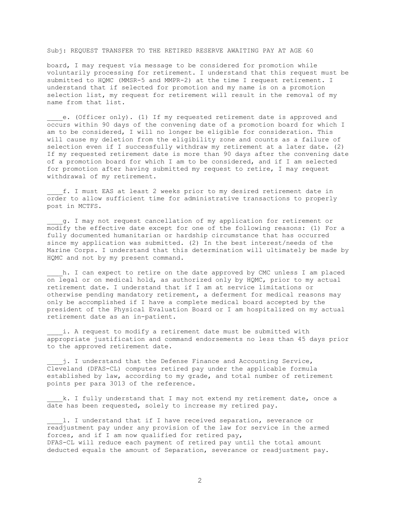## Subj: REQUEST TRANSFER TO THE RETIRED RESERVE AWAITING PAY AT AGE 60

board, I may request via message to be considered for promotion while voluntarily processing for retirement. I understand that this request must be submitted to HQMC (MMSR-5 and MMPR-2) at the time I request retirement. I understand that if selected for promotion and my name is on a promotion selection list, my request for retirement will result in the removal of my name from that list.

e. (Officer only). (1) If my requested retirement date is approved and occurs within 90 days of the convening date of a promotion board for which I am to be considered, I will no longer be eligible for consideration. This will cause my deletion from the eligibility zone and counts as a failure of selection even if I successfully withdraw my retirement at a later date. (2) If my requested retirement date is more than 90 days after the convening date of a promotion board for which I am to be considered, and if I am selected for promotion after having submitted my request to retire, I may request withdrawal of my retirement.

\_\_\_\_f. I must EAS at least 2 weeks prior to my desired retirement date in order to allow sufficient time for administrative transactions to properly post in MCTFS.

\_\_\_\_g. I may not request cancellation of my application for retirement or modify the effective date except for one of the following reasons: (1) For a fully documented humanitarian or hardship circumstance that has occurred since my application was submitted. (2) In the best interest/needs of the Marine Corps. I understand that this determination will ultimately be made by HQMC and not by my present command.

h. I can expect to retire on the date approved by CMC unless I am placed on legal or on medical hold, as authorized only by HQMC, prior to my actual retirement date. I understand that if I am at service limitations or otherwise pending mandatory retirement, a deferment for medical reasons may only be accomplished if I have a complete medical board accepted by the president of the Physical Evaluation Board or I am hospitalized on my actual retirement date as an in-patient.

i. A request to modify a retirement date must be submitted with appropriate justification and command endorsements no less than 45 days prior to the approved retirement date.

j. I understand that the Defense Finance and Accounting Service, Cleveland (DFAS-CL) computes retired pay under the applicable formula established by law, according to my grade, and total number of retirement points per para 3013 of the reference.

k. I fully understand that I may not extend my retirement date, once a  $\frac{1}{\text{date}}$  has been requested, solely to increase my retired pay.

1. I understand that if I have received separation, severance or readjustment pay under any provision of the law for service in the armed forces, and if I am now qualified for retired pay, DFAS-CL will reduce each payment of retired pay until the total amount deducted equals the amount of Separation, severance or readjustment pay.